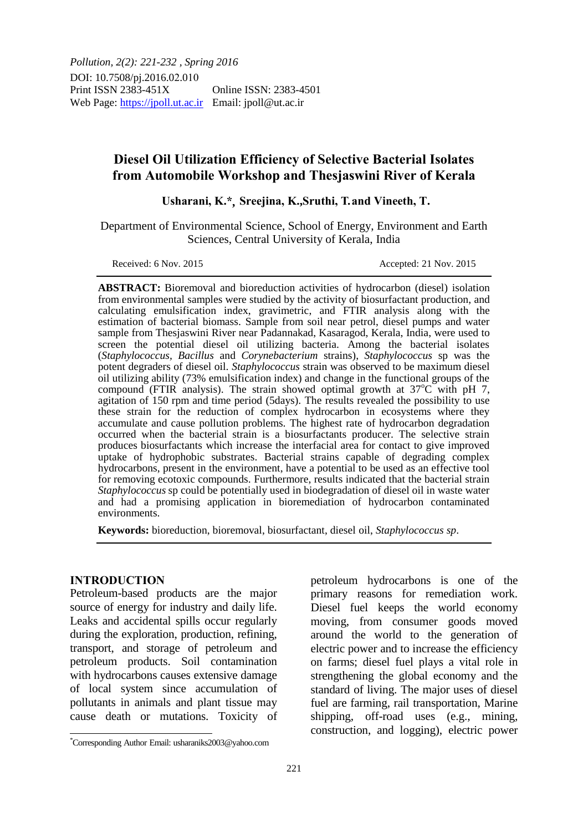*Pollution, 2(2): 221-232 , Spring 2016* DOI: 10.7508/pj.2016.02.010 Print ISSN 2383-451X Online ISSN: 2383-4501 Web Page: https://jpoll.ut.ac.ir Email: jpoll@ut.ac.ir

# **Diesel Oil Utilization Efficiency of Selective Bacterial Isolates from Automobile Workshop and Thesjaswini River of Kerala**

Usharani, K.\*, Sreejina, K., Sruthi, T. and Vineeth, T.

Department of Environmental Science, School of Energy, Environment and Earth Sciences, Central University of Kerala, India

Received: 6 Nov. 2015 Accepted: 21 Nov. 2015

**ABSTRACT:** Bioremoval and bioreduction activities of hydrocarbon (diesel) isolation from environmental samples were studied by the activity of biosurfactant production, and calculating emulsification index, gravimetric, and FTIR analysis along with the estimation of bacterial biomass. Sample from soil near petrol, diesel pumps and water sample from Thesjaswini River near Padannakad, Kasaragod, Kerala, India, were used to screen the potential diesel oil utilizing bacteria. Among the bacterial isolates (*Staphylococcus, Bacillus* and *Corynebacterium* strains), *Staphylococcus* sp was the potent degraders of diesel oil. *Staphylococcus* strain was observed to be maximum diesel oil utilizing ability (73% emulsification index) and change in the functional groups of the compound (FTIR analysis). The strain showed optimal growth at  $37^{\circ}$ C with pH 7, agitation of 150 rpm and time period (5days). The results revealed the possibility to use these strain for the reduction of complex hydrocarbon in ecosystems where they accumulate and cause pollution problems. The highest rate of hydrocarbon degradation occurred when the bacterial strain is a biosurfactants producer. The selective strain produces biosurfactants which increase the interfacial area for contact to give improved uptake of hydrophobic substrates. Bacterial strains capable of degrading complex hydrocarbons, present in the environment, have a potential to be used as an effective tool for removing ecotoxic compounds. Furthermore, results indicated that the bacterial strain *Staphylococcus* sp could be potentially used in biodegradation of diesel oil in waste water and had a promising application in bioremediation of hydrocarbon contaminated environments.

**Keywords:** bioreduction, bioremoval, biosurfactant, diesel oil, *Staphylococcus sp*.

### **INTRODUCTION**

Petroleum-based products are the major source of energy for industry and daily life. Leaks and accidental spills occur regularly during the exploration, production, refining, transport, and storage of petroleum and petroleum products. Soil contamination with hydrocarbons causes extensive damage of local system since accumulation of pollutants in animals and plant tissue may cause death or mutations. Toxicity of petroleum hydrocarbons is one of the primary reasons for remediation work. Diesel fuel keeps the world economy moving, from consumer goods moved around the world to the generation of electric power and to increase the efficiency on farms; diesel fuel plays a vital role in strengthening the global economy and the standard of living. The major uses of diesel fuel are farming, rail transportation, Marine shipping, off-road uses (e.g., mining, construction, and logging), electric power

<sup>\*</sup>Corresponding Author Email: usharaniks2003@yahoo.com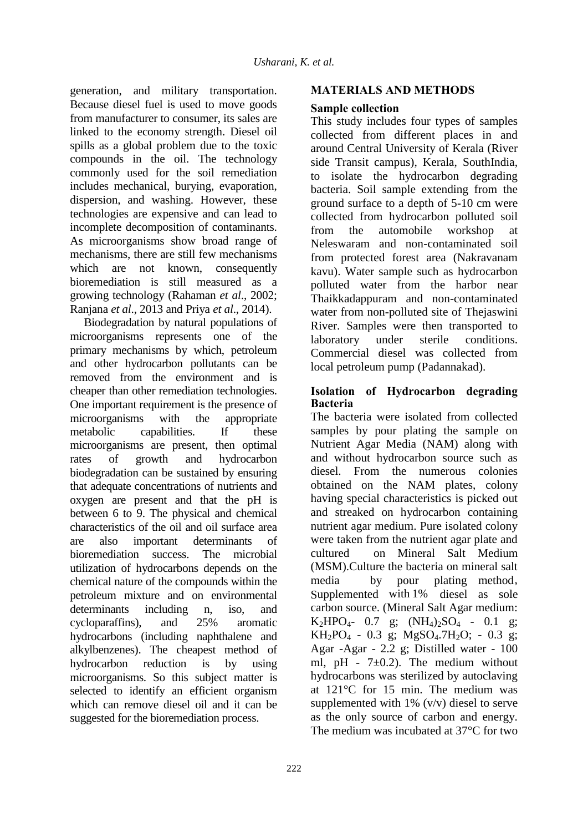generation, and military transportation. Because diesel fuel is used to move goods from manufacturer to consumer, its sales are linked to the economy strength. Diesel oil spills as a global problem due to the toxic compounds in the oil. The technology commonly used for the soil remediation includes mechanical, burying, evaporation, dispersion, and washing. However, these technologies are expensive and can lead to incomplete decomposition of contaminants. As microorganisms show broad range of mechanisms, there are still few mechanisms which are not known, consequently bioremediation is still measured as a growing technology (Rahaman *et al*., 2002; Ranjana *et al*., 2013 and Priya *et al*., 2014).

Biodegradation by natural populations of microorganisms represents one of the primary mechanisms by which, petroleum and other hydrocarbon pollutants can be removed from the environment and is cheaper than other remediation technologies. One important requirement is the presence of microorganisms with the appropriate metabolic capabilities. If these microorganisms are present, then optimal rates of growth and hydrocarbon biodegradation can be sustained by ensuring that adequate concentrations of nutrients and oxygen are present and that the pH is between 6 to 9. The physical and chemical characteristics of the oil and oil surface area are also important determinants of bioremediation success. The microbial utilization of hydrocarbons depends on the chemical nature of the compounds within the petroleum mixture and on environmental determinants including n, iso, and cycloparaffins), and 25% aromatic hydrocarbons (including naphthalene and alkylbenzenes). The cheapest method of hydrocarbon reduction is by using microorganisms. So this subject matter is selected to identify an efficient organism which can remove diesel oil and it can be suggested for the bioremediation process.

## **MATERIALS AND METHODS**

## **Sample collection**

This study includes four types of samples collected from different places in and around Central University of Kerala (River side Transit campus), Kerala, SouthIndia, to isolate the hydrocarbon degrading bacteria. Soil sample extending from the ground surface to a depth of 5-10 cm were collected from hydrocarbon polluted soil from the automobile workshop at Neleswaram and non-contaminated soil from protected forest area (Nakravanam kavu). Water sample such as hydrocarbon polluted water from the harbor near Thaikkadappuram and non-contaminated water from non-polluted site of Thejaswini River. Samples were then transported to laboratory under sterile conditions. Commercial diesel was collected from local petroleum pump (Padannakad).

## **Isolation of Hydrocarbon degrading Bacteria**

The bacteria were isolated from collected samples by pour plating the sample on Nutrient Agar Media (NAM) along with and without hydrocarbon source such as diesel. From the numerous colonies obtained on the NAM plates, colony having special characteristics is picked out and streaked on hydrocarbon containing nutrient agar medium. Pure isolated colony were taken from the nutrient agar plate and cultured on Mineral Salt Medium (MSM).Culture the bacteria on mineral salt media by pour plating method, Supplemented with 1% diesel as sole carbon source. (Mineral Salt Agar medium:  $K_2HPO_4$ - 0.7 g;  $(NH_4)_2SO_4$  - 0.1 g;  $KH_2PO_4$  - 0.3 g; MgSO<sub>4</sub>.7H<sub>2</sub>O; - 0.3 g; Agar -Agar - 2.2 g; Distilled water - 100 ml, pH -  $7\pm0.2$ ). The medium without hydrocarbons was sterilized by autoclaving at 121°C for 15 min. The medium was supplemented with  $1\%$  (v/v) diesel to serve as the only source of carbon and energy. The medium was incubated at 37°C for two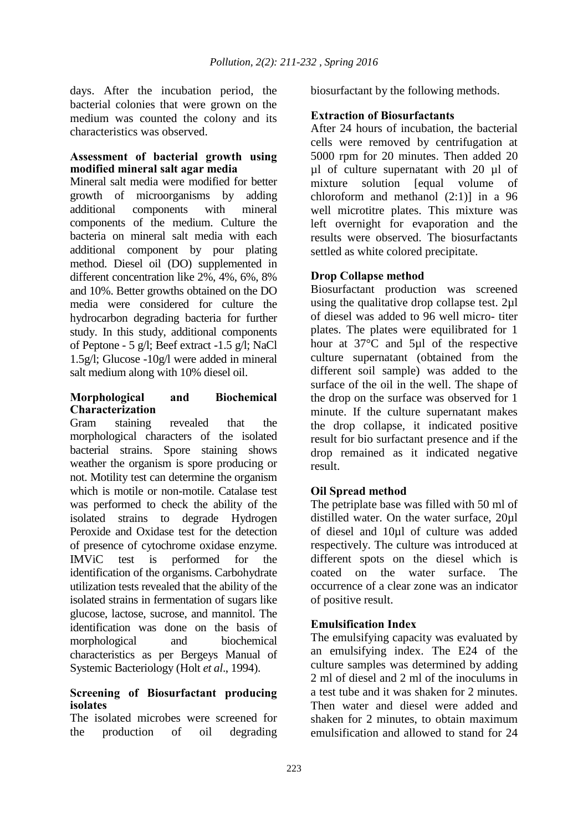days. After the incubation period, the bacterial colonies that were grown on the medium was counted the colony and its characteristics was observed.

### **Assessment of bacterial growth using modified mineral salt agar media**

Mineral salt media were modified for better growth of microorganisms by adding additional components with mineral components of the medium. Culture the bacteria on mineral salt media with each additional component by pour plating method. Diesel oil (DO) supplemented in different concentration like 2%, 4%, 6%, 8% and 10%. Better growths obtained on the DO media were considered for culture the hydrocarbon degrading bacteria for further study. In this study, additional components of Peptone - 5 g/l; Beef extract -1.5 g/l; NaCl 1.5g/l; Glucose -10g/l were added in mineral salt medium along with 10% diesel oil.

### **Morphological and Biochemical Characterization**

Gram staining revealed that the morphological characters of the isolated bacterial strains. Spore staining shows weather the organism is spore producing or not. Motility test can determine the organism which is motile or non-motile. Catalase test was performed to check the ability of the isolated strains to degrade Hydrogen Peroxide and Oxidase test for the detection of presence of cytochrome oxidase enzyme. IMViC test is performed for the identification of the organisms. Carbohydrate utilization tests revealed that the ability of the isolated strains in fermentation of sugars like glucose, lactose, sucrose, and mannitol. The identification was done on the basis of morphological and biochemical characteristics as per Bergeys Manual of Systemic Bacteriology (Holt *et al*., 1994).

#### **Screening of Biosurfactant producing isolates**

The isolated microbes were screened for the production of oil degrading biosurfactant by the following methods.

## **Extraction of Biosurfactants**

After 24 hours of incubation, the bacterial cells were removed by centrifugation at 5000 rpm for 20 minutes. Then added 20 µl of culture supernatant with 20 µl of mixture solution [equal volume of chloroform and methanol (2:1)] in a 96 well microtitre plates. This mixture was left overnight for evaporation and the results were observed. The biosurfactants settled as white colored precipitate.

## **Drop Collapse method**

Biosurfactant production was screened using the qualitative drop collapse test. 2µl of diesel was added to 96 well micro- titer plates. The plates were equilibrated for 1 hour at 37°C and 5µl of the respective culture supernatant (obtained from the different soil sample) was added to the surface of the oil in the well. The shape of the drop on the surface was observed for 1 minute. If the culture supernatant makes the drop collapse, it indicated positive result for bio surfactant presence and if the drop remained as it indicated negative result.

## **Oil Spread method**

The petriplate base was filled with 50 ml of distilled water. On the water surface, 20µl of diesel and 10µl of culture was added respectively. The culture was introduced at different spots on the diesel which is coated on the water surface. The occurrence of a clear zone was an indicator of positive result.

## **Emulsification Index**

The emulsifying capacity was evaluated by an emulsifying index. The E24 of the culture samples was determined by adding 2 ml of diesel and 2 ml of the inoculums in a test tube and it was shaken for 2 minutes. Then water and diesel were added and shaken for 2 minutes, to obtain maximum emulsification and allowed to stand for 24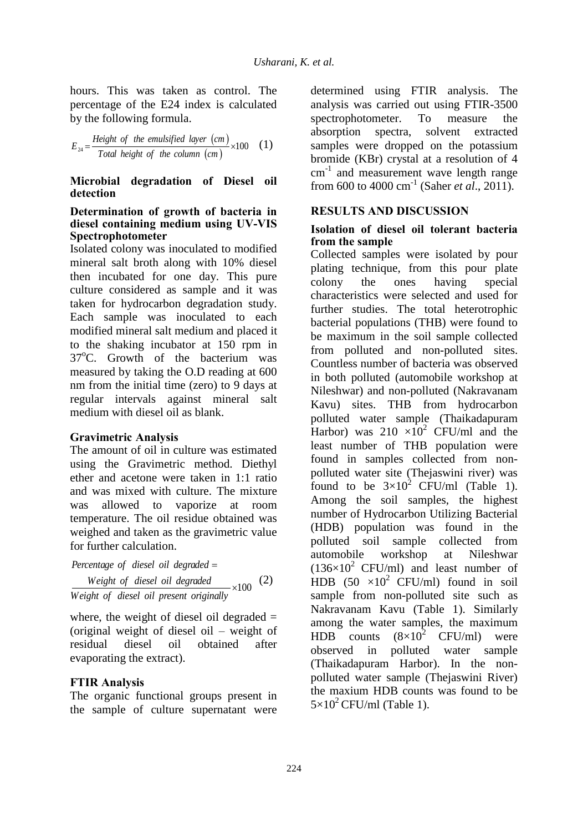hours. This was taken as control. The percentage of the E24 index is calculated by the following formula.

$$
E_{24} = \frac{Height \ of \ the \ emulsified \ layer \ (cm)}{Total \ height \ of \ the \ column \ (cm)} \times 100 \tag{1}
$$

#### **Microbial degradation of Diesel oil detection**

#### **Determination of growth of bacteria in diesel containing medium using UV-VIS Spectrophotometer**

Isolated colony was inoculated to modified mineral salt broth along with 10% diesel then incubated for one day. This pure culture considered as sample and it was taken for hydrocarbon degradation study. Each sample was inoculated to each modified mineral salt medium and placed it to the shaking incubator at 150 rpm in  $37^{\circ}$ C. Growth of the bacterium was measured by taking the O.D reading at 600 nm from the initial time (zero) to 9 days at regular intervals against mineral salt medium with diesel oil as blank.

### **Gravimetric Analysis**

The amount of oil in culture was estimated using the Gravimetric method. Diethyl ether and acetone were taken in 1:1 ratio and was mixed with culture. The mixture was allowed to vaporize at room temperature. The oil residue obtained was weighed and taken as the gravimetric value for further calculation.

 *Percentage of diesel oil degraded* of diesel oil degraded  $\times 100$  *Weight of diesel oil degraded Weight of diesel oil degraded*  $\times$  100 (2)<br>*Weight of diesel oil present originally* 

where, the weight of diesel oil degraded  $=$ (original weight of diesel oil – weight of residual diesel oil obtained after evaporating the extract).

## **FTIR Analysis**

The organic functional groups present in the sample of culture supernatant were

determined using FTIR analysis. The analysis was carried out using FTIR-3500 spectrophotometer. To measure the absorption spectra, solvent extracted samples were dropped on the potassium bromide (KBr) crystal at a resolution of 4 cm<sup>-1</sup> and measurement wave length range from 600 to 4000 cm-1 (Saher *et al*., 2011).

## **RESULTS AND DISCUSSION**

#### **Isolation of diesel oil tolerant bacteria from the sample**

Collected samples were isolated by pour plating technique, from this pour plate colony the ones having special characteristics were selected and used for further studies. The total heterotrophic bacterial populations (THB) were found to be maximum in the soil sample collected from polluted and non-polluted sites. Countless number of bacteria was observed in both polluted (automobile workshop at Nileshwar) and non-polluted (Nakravanam Kavu) sites. THB from hydrocarbon polluted water sample (Thaikadapuram Harbor) was  $210 \times 10^2$  CFU/ml and the least number of THB population were found in samples collected from nonpolluted water site (Thejaswini river) was found to be  $3\times10^2$  CFU/ml (Table 1). Among the soil samples, the highest number of Hydrocarbon Utilizing Bacterial (HDB) population was found in the polluted soil sample collected from automobile workshop at Nileshwar  $(136\times10^2 \text{ CFU/ml})$  and least number of HDB  $(50 \times 10^2 \text{ CFU/ml})$  found in soil sample from non-polluted site such as Nakravanam Kavu (Table 1). Similarly among the water samples, the maximum HDB counts  $(8\times10^2 \text{ CFU/ml})$  were observed in polluted water sample (Thaikadapuram Harbor). In the nonpolluted water sample (Thejaswini River) the maxium HDB counts was found to be  $5\times10^2$  CFU/ml (Table 1).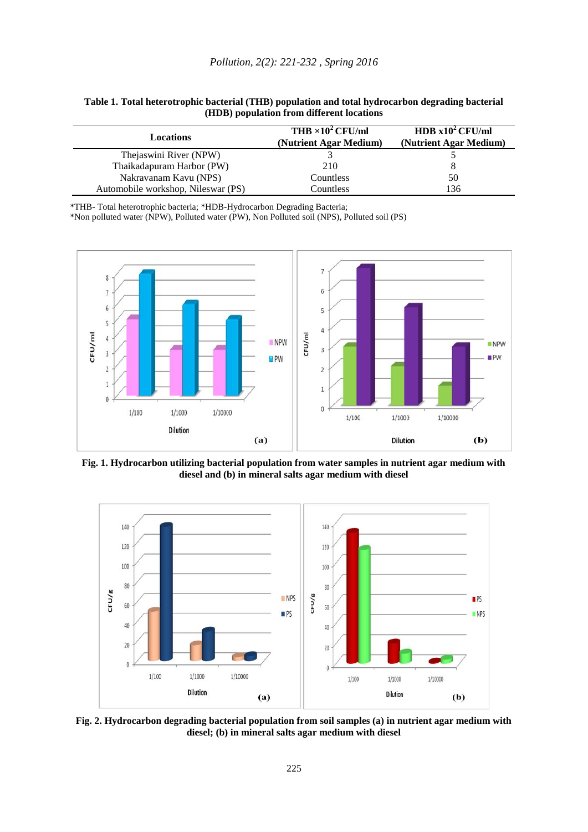| <b>Locations</b>                   | THB $\times 10^2$ CFU/ml<br>(Nutrient Agar Medium) | HDB $x10^2$ CFU/ml<br>(Nutrient Agar Medium) |  |  |
|------------------------------------|----------------------------------------------------|----------------------------------------------|--|--|
| Thejaswini River (NPW)             |                                                    |                                              |  |  |
| Thaikadapuram Harbor (PW)          | 210                                                |                                              |  |  |
| Nakravanam Kavu (NPS)              | Countless                                          | 50                                           |  |  |
| Automobile workshop, Nileswar (PS) | Countless                                          | 136                                          |  |  |

**Table 1. Total heterotrophic bacterial (THB) population and total hydrocarbon degrading bacterial (HDB) population from different locations**

\*THB- Total heterotrophic bacteria; \*HDB-Hydrocarbon Degrading Bacteria;

\*Non polluted water (NPW), Polluted water (PW), Non Polluted soil (NPS), Polluted soil (PS)



**Fig. 1. Hydrocarbon utilizing bacterial population from water samples in nutrient agar medium with diesel and (b) in mineral salts agar medium with diesel**



**Fig. 2. Hydrocarbon degrading bacterial population from soil samples (a) in nutrient agar medium with diesel; (b) in mineral salts agar medium with diesel**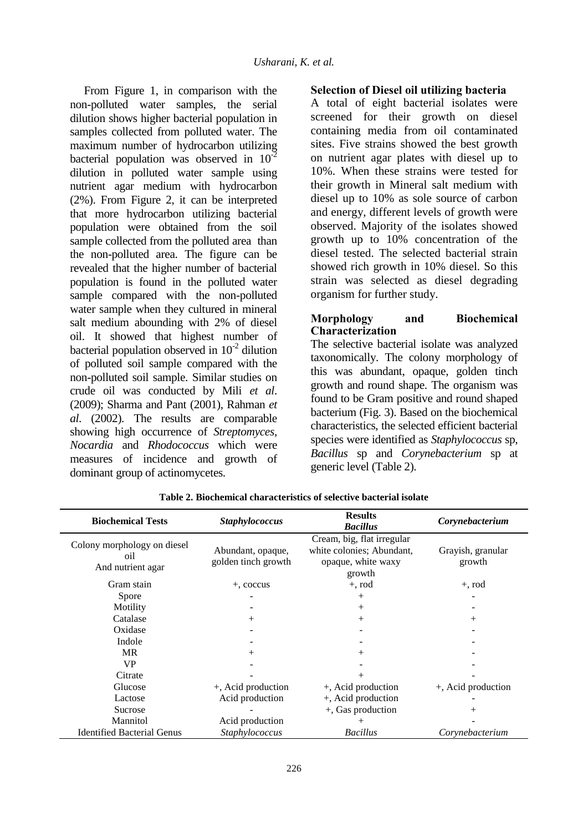From Figure 1, in comparison with the non-polluted water samples, the serial dilution shows higher bacterial population in samples collected from polluted water. The maximum number of hydrocarbon utilizing bacterial population was observed in  $10^{-2}$ dilution in polluted water sample using nutrient agar medium with hydrocarbon (2%). From Figure 2, it can be interpreted that more hydrocarbon utilizing bacterial population were obtained from the soil sample collected from the polluted area than the non-polluted area. The figure can be revealed that the higher number of bacterial population is found in the polluted water sample compared with the non-polluted water sample when they cultured in mineral salt medium abounding with 2% of diesel oil. It showed that highest number of bacterial population observed in  $10^{-2}$  dilution of polluted soil sample compared with the non-polluted soil sample. Similar studies on crude oil was conducted by Mili *et al*. (2009); Sharma and Pant (2001), Rahman *et al*. (2002). The results are comparable showing high occurrence of *Streptomyces, Nocardia* and *Rhodococcus* which were measures of incidence and growth of dominant group of actinomycetes.

### **Selection of Diesel oil utilizing bacteria**

A total of eight bacterial isolates were screened for their growth on diesel containing media from oil contaminated sites. Five strains showed the best growth on nutrient agar plates with diesel up to 10%. When these strains were tested for their growth in Mineral salt medium with diesel up to 10% as sole source of carbon and energy, different levels of growth were observed. Majority of the isolates showed growth up to 10% concentration of the diesel tested. The selected bacterial strain showed rich growth in 10% diesel. So this strain was selected as diesel degrading organism for further study.

### **Morphology and Biochemical Characterization**

The selective bacterial isolate was analyzed taxonomically. The colony morphology of this was abundant, opaque, golden tinch growth and round shape. The organism was found to be Gram positive and round shaped bacterium (Fig. 3). Based on the biochemical characteristics, the selected efficient bacterial species were identified as *Staphylococcus* sp, *Bacillus* sp and *Corynebacterium* sp at generic level (Table 2).

| <b>Biochemical Tests</b>                                | <b>Staphylococcus</b>                    | <b>Results</b><br><b>Bacillus</b>                                                       | Corynebacterium             |
|---------------------------------------------------------|------------------------------------------|-----------------------------------------------------------------------------------------|-----------------------------|
| Colony morphology on diesel<br>01l<br>And nutrient agar | Abundant, opaque,<br>golden tinch growth | Cream, big, flat irregular<br>white colonies; Abundant,<br>opaque, white waxy<br>growth | Grayish, granular<br>growth |
| Gram stain                                              | +, coccus                                | $+$ , rod                                                                               | $+, \text{rod}$             |
| Spore                                                   |                                          | $^{+}$                                                                                  |                             |
| Motility                                                |                                          | $^{+}$                                                                                  |                             |
| Catalase                                                | $^{+}$                                   | $^{+}$                                                                                  | $^+$                        |
| Oxidase                                                 |                                          |                                                                                         |                             |
| Indole                                                  |                                          |                                                                                         |                             |
| <b>MR</b>                                               | $^{+}$                                   | $^+$                                                                                    |                             |
| <b>VP</b>                                               |                                          |                                                                                         |                             |
| Citrate                                                 |                                          |                                                                                         |                             |
| Glucose                                                 | +, Acid production                       | +, Acid production                                                                      | +, Acid production          |
| Lactose                                                 | Acid production                          | +, Acid production                                                                      |                             |
| Sucrose                                                 |                                          | +, Gas production                                                                       |                             |
| Mannitol                                                | Acid production                          |                                                                                         |                             |
| <b>Identified Bacterial Genus</b>                       | Staphylococcus                           | <b>Bacillus</b>                                                                         | Corynebacterium             |

**Table 2. Biochemical characteristics of selective bacterial isolate**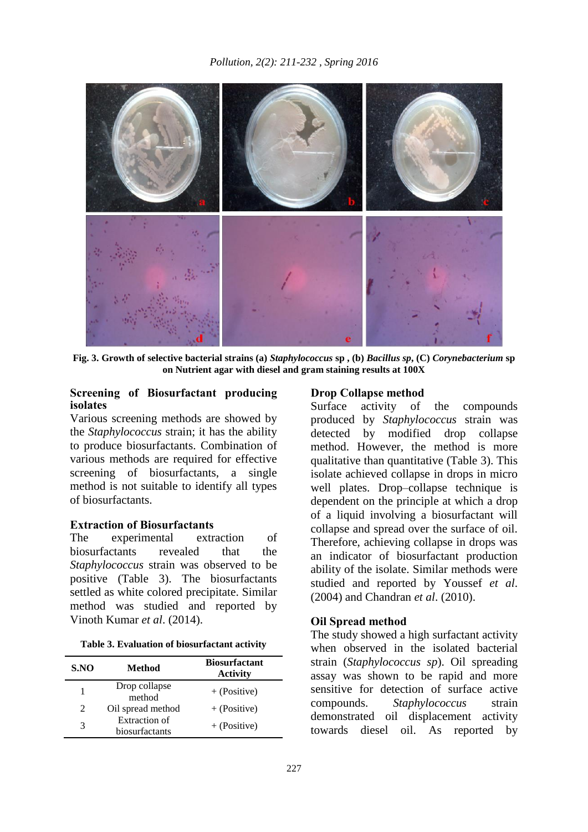

**Fig. 3. Growth of selective bacterial strains (a)** *Staphylococcus* **sp , (b)** *Bacillus sp***, (C)** *Corynebacterium* **sp on Nutrient agar with diesel and gram staining results at 100X**

#### **Screening of Biosurfactant producing isolates**

Various screening methods are showed by the *Staphylococcus* strain; it has the ability to produce biosurfactants. Combination of various methods are required for effective screening of biosurfactants, a single method is not suitable to identify all types of biosurfactants.

#### **Extraction of Biosurfactants**

The experimental extraction of biosurfactants revealed that the *Staphylococcus* strain was observed to be positive (Table 3). The biosurfactants settled as white colored precipitate. Similar method was studied and reported by Vinoth Kumar *et al*. (2014).

| Table 3. Evaluation of biosurfactant activity |  |  |
|-----------------------------------------------|--|--|
|-----------------------------------------------|--|--|

| S.NO           | Method                          | <b>Biosurfactant</b><br><b>Activity</b> |
|----------------|---------------------------------|-----------------------------------------|
|                | Drop collapse<br>method         | $+$ (Positive)                          |
| $\mathfrak{D}$ | Oil spread method               | $+$ (Positive)                          |
| 3              | Extraction of<br>biosurfactants | $+$ (Positive)                          |

#### **Drop Collapse method**

Surface activity of the compounds produced by *Staphylococcus* strain was detected by modified drop collapse method. However, the method is more qualitative than quantitative (Table 3). This isolate achieved collapse in drops in micro well plates. Drop–collapse technique is dependent on the principle at which a drop of a liquid involving a biosurfactant will collapse and spread over the surface of oil. Therefore, achieving collapse in drops was an indicator of biosurfactant production ability of the isolate. Similar methods were studied and reported by Youssef *et al*. (2004) and Chandran *et al*. (2010).

### **Oil Spread method**

The study showed a high surfactant activity when observed in the isolated bacterial strain (*Staphylococcus sp*). Oil spreading assay was shown to be rapid and more sensitive for detection of surface active compounds. *Staphylococcus* strain demonstrated oil displacement activity towards diesel oil. As reported by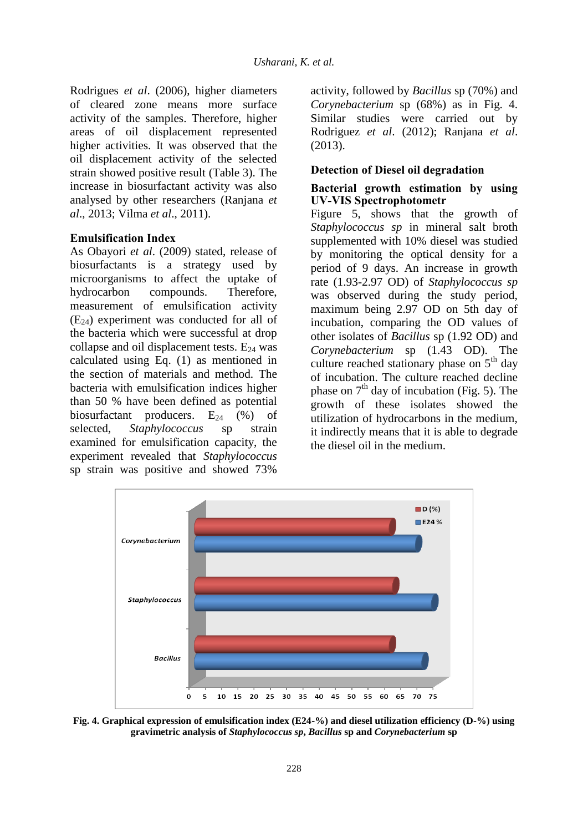Rodrigues *et al*. (2006), higher diameters of cleared zone means more surface activity of the samples. Therefore, higher areas of oil displacement represented higher activities. It was observed that the oil displacement activity of the selected strain showed positive result (Table 3). The increase in biosurfactant activity was also analysed by other researchers (Ranjana *et al*., 2013; Vilma *et al*., 2011).

### **Emulsification Index**

As Obayori *et al*. (2009) stated, release of biosurfactants is a strategy used by microorganisms to affect the uptake of hydrocarbon compounds. Therefore, measurement of emulsification activity  $(E_{24})$  experiment was conducted for all of the bacteria which were successful at drop collapse and oil displacement tests.  $E_{24}$  was calculated using Eq. (1) as mentioned in the section of materials and method. The bacteria with emulsification indices higher than 50 % have been defined as potential biosurfactant producers.  $E_{24}$  (%) of selected, *Staphylococcus* sp strain examined for emulsification capacity, the experiment revealed that *Staphylococcus* sp strain was positive and showed 73%

activity, followed by *Bacillus* sp (70%) and *Corynebacterium* sp (68%) as in Fig. 4. Similar studies were carried out by Rodriguez *et al*. (2012); Ranjana *et al*. (2013).

### **Detection of Diesel oil degradation**

#### **Bacterial growth estimation by using UV-VIS Spectrophotometr**

Figure 5, shows that the growth of *Staphylococcus sp* in mineral salt broth supplemented with 10% diesel was studied by monitoring the optical density for a period of 9 days. An increase in growth rate (1.93-2.97 OD) of *Staphylococcus sp* was observed during the study period, maximum being 2.97 OD on 5th day of incubation, comparing the OD values of other isolates of *Bacillus* sp (1.92 OD) and *Corynebacterium* sp (1.43 OD). The culture reached stationary phase on  $5<sup>th</sup>$  day of incubation. The culture reached decline phase on  $7<sup>th</sup>$  day of incubation (Fig. 5). The growth of these isolates showed the utilization of hydrocarbons in the medium, it indirectly means that it is able to degrade the diesel oil in the medium.



**Fig. 4. Graphical expression of emulsification index (E24-%) and diesel utilization efficiency (D-%) using gravimetric analysis of** *Staphylococcus sp***,** *Bacillus* **sp and** *Corynebacterium* **sp**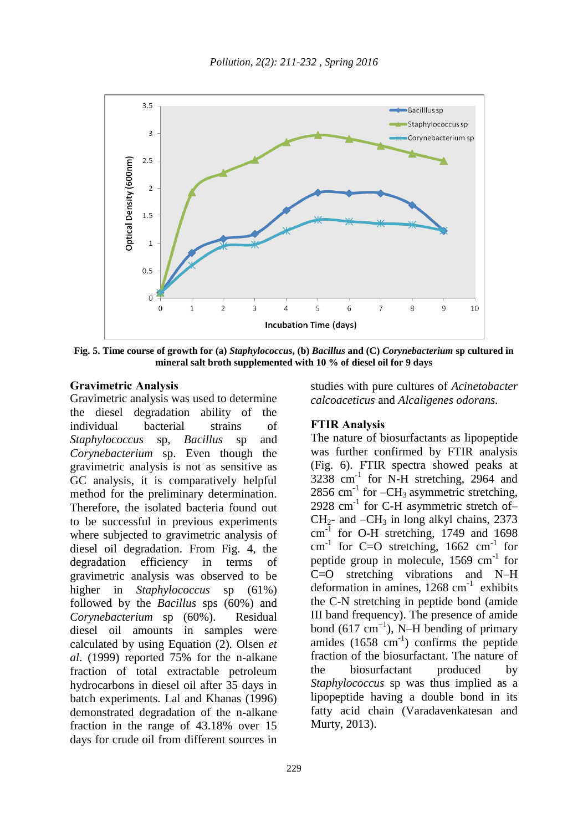

**Fig. 5. Time course of growth for (a)** *Staphylococcus***, (b)** *Bacillus* **and (C)** *Corynebacterium* **sp cultured in mineral salt broth supplemented with 10 % of diesel oil for 9 days**

#### **Gravimetric Analysis**

Gravimetric analysis was used to determine the diesel degradation ability of the individual bacterial strains of *Staphylococcus* sp, *Bacillus* sp and *Corynebacterium* sp. Even though the gravimetric analysis is not as sensitive as GC analysis, it is comparatively helpful method for the preliminary determination. Therefore, the isolated bacteria found out to be successful in previous experiments where subjected to gravimetric analysis of diesel oil degradation. From Fig. 4, the degradation efficiency in terms of gravimetric analysis was observed to be higher in *Staphylococcus* sp (61%) followed by the *Bacillus* sps (60%) and *Corynebacterium* sp (60%). Residual diesel oil amounts in samples were calculated by using Equation (2). Olsen *et al*. (1999) reported 75% for the n-alkane fraction of total extractable petroleum hydrocarbons in diesel oil after 35 days in batch experiments. Lal and Khanas (1996) demonstrated degradation of the n-alkane fraction in the range of 43.18% over 15 days for crude oil from different sources in

studies with pure cultures of *Acinetobacter calcoaceticus* and *Alcaligenes odorans.*

#### **FTIR Analysis**

The nature of biosurfactants as lipopeptide was further confirmed by FTIR analysis (Fig. 6). FTIR spectra showed peaks at  $3238$  cm<sup>-1</sup> for N-H stretching, 2964 and  $2856$  cm<sup>-1</sup> for  $-CH_3$  asymmetric stretching, 2928 cm<sup>-1</sup> for C-H asymmetric stretch of- $CH<sub>2</sub>$ - and  $-CH<sub>3</sub>$  in long alkyl chains, 2373 cm<sup>-1</sup> for O-H stretching, 1749 and 1698 cm<sup>-1</sup> for C=O stretching,  $1662$  cm<sup>-1</sup> for peptide group in molecule, 1569 cm<sup>-1</sup> for C=O stretching vibrations and N–H deformation in amines,  $1268 \text{ cm}^{-1}$  exhibits the C-N stretching in peptide bond (amide III band frequency). The presence of amide bond  $(617 \text{ cm}^{-1})$ , N–H bending of primary amides  $(1658 \text{ cm}^{-1})$  confirms the peptide fraction of the biosurfactant. The nature of the biosurfactant produced by *Staphylococcus* sp was thus implied as a lipopeptide having a double bond in its fatty acid chain (Varadavenkatesan and Murty, 2013).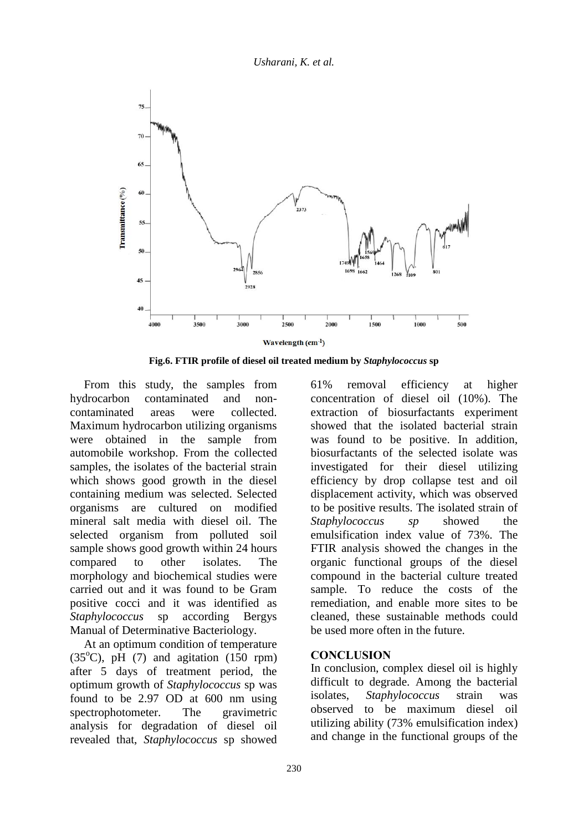*Usharani, K. et al.*



**Fig.6. FTIR profile of diesel oil treated medium by** *Staphylococcus* **sp**

From this study, the samples from hydrocarbon contaminated and noncontaminated areas were collected. Maximum hydrocarbon utilizing organisms were obtained in the sample from automobile workshop. From the collected samples, the isolates of the bacterial strain which shows good growth in the diesel containing medium was selected. Selected organisms are cultured on modified mineral salt media with diesel oil. The selected organism from polluted soil sample shows good growth within 24 hours compared to other isolates. The morphology and biochemical studies were carried out and it was found to be Gram positive cocci and it was identified as *Staphylococcus* sp according Bergys Manual of Determinative Bacteriology.

At an optimum condition of temperature  $(35^{\circ}C)$ , pH  $(7)$  and agitation  $(150$  rpm) after 5 days of treatment period, the optimum growth of *Staphylococcus* sp was found to be 2.97 OD at 600 nm using spectrophotometer. The gravimetric analysis for degradation of diesel oil revealed that, *Staphylococcus* sp showed

61% removal efficiency at higher concentration of diesel oil (10%). The extraction of biosurfactants experiment showed that the isolated bacterial strain was found to be positive. In addition, biosurfactants of the selected isolate was investigated for their diesel utilizing efficiency by drop collapse test and oil displacement activity, which was observed to be positive results. The isolated strain of *Staphylococcus sp* showed the emulsification index value of 73%. The FTIR analysis showed the changes in the organic functional groups of the diesel compound in the bacterial culture treated sample. To reduce the costs of the remediation, and enable more sites to be cleaned, these sustainable methods could be used more often in the future.

### **CONCLUSION**

In conclusion, complex diesel oil is highly difficult to degrade. Among the bacterial isolates, *Staphylococcus* strain was observed to be maximum diesel oil utilizing ability (73% emulsification index) and change in the functional groups of the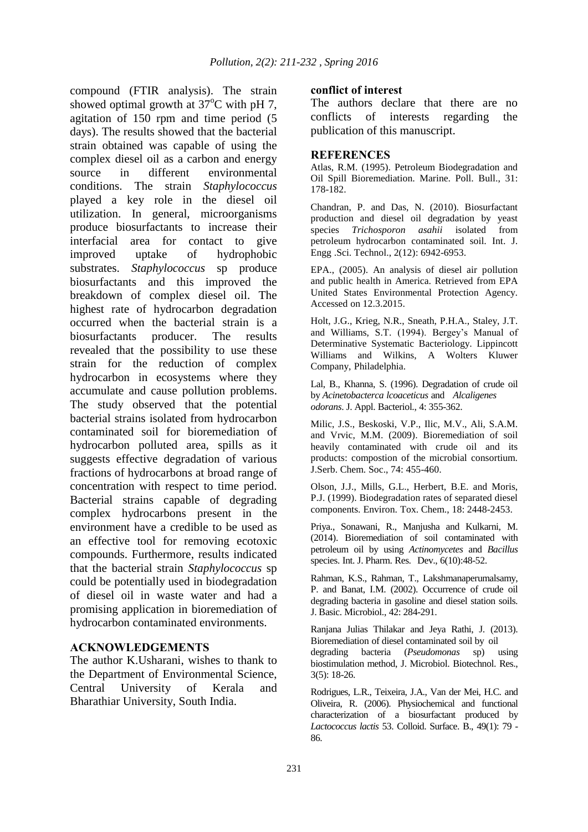compound (FTIR analysis). The strain showed optimal growth at  $37^{\circ}$ C with pH 7. agitation of 150 rpm and time period (5 days). The results showed that the bacterial strain obtained was capable of using the complex diesel oil as a carbon and energy source in different environmental conditions. The strain *Staphylococcus* played a key role in the diesel oil utilization. In general, microorganisms produce biosurfactants to increase their interfacial area for contact to give improved uptake of hydrophobic substrates. *Staphylococcus* sp produce biosurfactants and this improved the breakdown of complex diesel oil. The highest rate of hydrocarbon degradation occurred when the bacterial strain is a biosurfactants producer. The results revealed that the possibility to use these strain for the reduction of complex hydrocarbon in ecosystems where they accumulate and cause pollution problems. The study observed that the potential bacterial strains isolated from hydrocarbon contaminated soil for bioremediation of hydrocarbon polluted area, spills as it suggests effective degradation of various fractions of hydrocarbons at broad range of concentration with respect to time period. Bacterial strains capable of degrading complex hydrocarbons present in the environment have a credible to be used as an effective tool for removing ecotoxic compounds. Furthermore, results indicated that the bacterial strain *Staphylococcus* sp could be potentially used in biodegradation of diesel oil in waste water and had a promising application in bioremediation of hydrocarbon contaminated environments.

#### **ACKNOWLEDGEMENTS**

The author K.Usharani, wishes to thank to the Department of Environmental Science, Central University of Kerala and Bharathiar University, South India.

#### **conflict of interest**

The authors declare that there are no conflicts of interests regarding the publication of this manuscript.

#### **REFERENCES**

Atlas, R.M. (1995). Petroleum Biodegradation and Oil Spill Bioremediation. Marine. Poll. Bull., 31: 178-182.

Chandran, P. and Das, N. (2010). Biosurfactant production and diesel oil degradation by yeast species *Trichosporon asahii* isolated from petroleum hydrocarbon contaminated soil. Int. J. Engg .Sci. Technol., 2(12): 6942-6953.

EPA., (2005). An analysis of diesel air pollution and public health in America. Retrieved from EPA United States Environmental Protection Agency. Accessed on 12.3.2015.

Holt, J.G., Krieg, N.R., Sneath, P.H.A., Staley, J.T. and Williams, S.T. (1994). Bergey's Manual of Determinative Systematic Bacteriology. Lippincott Williams and Wilkins, A Wolters Kluwer Company, Philadelphia.

Lal, B., Khanna, S. (1996). Degradation of crude oil by *Acinetobacterca lcoaceticus* and *Alcaligenes odorans*. J. Appl. Bacteriol., 4: 355-362.

Milic, J.S., Beskoski, V.P., Ilic, M.V., Ali, S.A.M. and Vrvic, M.M. (2009). Bioremediation of soil heavily contaminated with crude oil and its products: compostion of the microbial consortium. J.Serb. Chem. Soc., 74: 455-460.

Olson, J.J., Mills, G.L., Herbert, B.E. and Moris, P.J. (1999). Biodegradation rates of separated diesel components. Environ. Tox. Chem., 18: 2448-2453.

Priya., Sonawani, R., Manjusha and Kulkarni, M. (2014). Bioremediation of soil contaminated with petroleum oil by using *Actinomycetes* and *Bacillus*  species. Int. J. Pharm. Res. Dev., 6(10):48-52.

Rahman, K.S., Rahman, T., Lakshmanaperumalsamy, P. and Banat, I.M. (2002). Occurrence of crude oil degrading bacteria in gasoline and diesel station soils. J. Basic. Microbiol., 42: 284-291.

Ranjana Julias Thilakar and Jeya Rathi, J. (2013). Bioremediation of diesel contaminated soil by oil degrading bacteria (*Pseudomonas* sp) using biostimulation method, J. Microbiol. Biotechnol. Res., 3(5): 18-26.

Rodrigues, L.R., Teixeira, J.A., Van der Mei, H.C. and Oliveira, R. (2006). Physiochemical and functional characterization of a biosurfactant produced by *Lactococcus lactis* 53. Colloid. Surface. B., 49(1): 79 - 86.